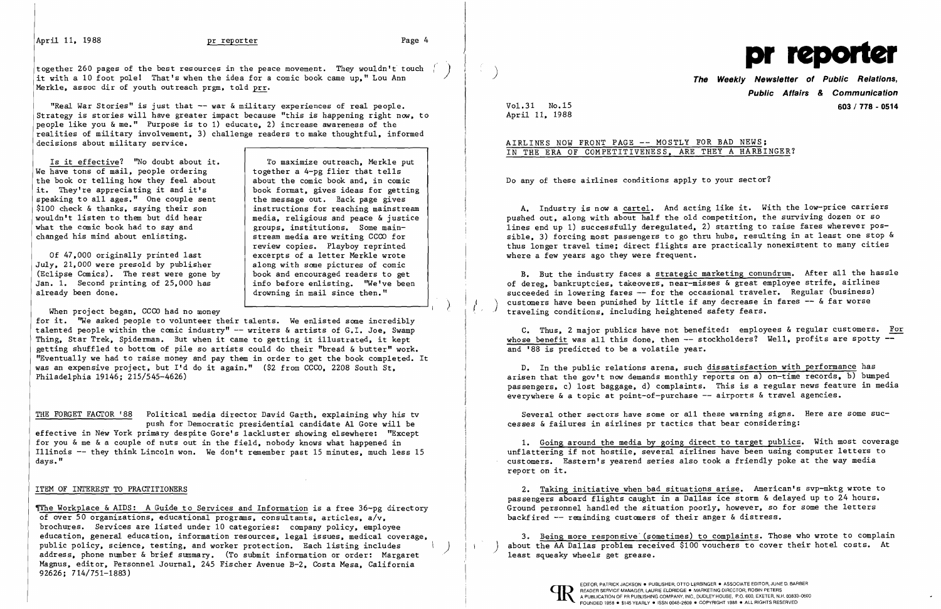April 11, 1988 **pr reporter produced pr reporter Page 4** 

media, religious and peace & justice<br>groups, institutions, Some main-

together 260 pages of the best resources in the peace movement. They wouldn't touch<br>it with a 10 foot pole! That's when the idea for a comic book came up," Lou Ann Merkle, assoc dir of youth outreach prgm, told prr.

"Real War Stories" is just that -- war & military experiences of real people. Strategy is stories will have greater impact because "this is happening right now, to people like you & me." Purpose is to 1) educate, 2) increase awareness of the realities of military involvement, 3) challenge readers to make thoughtful, informed decisions about military service.

Is it effective? "No doubt about it. To maximize outreach, Merkle put have tons of mail, people ordering  $\begin{array}{c} \hline \text{I} & \text{I} & \text{I} \\ \text{I} & \text{I} & \text{I} \\ \text{I} & \text{I} & \text{I} \end{array}$ We have tons of mail, people ordering  $\begin{array}{c|c} x \text{ is the base of } x \\ \text{the book or telling how they feel about the comic book and, in comic.} \end{array}$ the book or telling how they feel about it. They're appreciating it and it's a hook format, gives ideas for getting speaking to all ages." One couple sent the message out. Back page gives speaking to all ages." One couple sent | the message out. Back page gives<br>\$100 check & thanks, saying their son | instructions for reaching mainstream \$100 check & thanks, saying their son wouldn't listen to them but did hear what the comic book had to say and <br>
changed his mind about enlisting. <br>
stream media are writing CCCO for changed his mind about enlisting.

Of 47,000 originally printed last July, 21,000 were presold by publisher along with some pictures of comic<br>(Eclipse Comics). The rest were gone by book and encouraged readers to get (Eclipse Comics). The rest were gone by Jan. 1. Second printing of  $25,000$  has Jan. 1. Second printing of 25,000 has | info before enlisting. "We've been<br>already been done.<br>drowning in mail since then."

When project began, CCCO had no money

review copies. Playboy reprinted

excerpts of a letter Merkle wrote<br>along with some pictures of comic

drowning in mail since then."

The Workplace & AIDS: A Guide to Services and Information is a free 36-pg directory of over 50 organizations, educational programs, consultants, articles, a/v, brochures. Services are listed under 10 categories: company policy, employee education, general education, information resources, legal issues, medical coverage, public policy, science, testing, and worker protection. Each listing includes address, phone number & brief summary. (To submit information or order: Margaret Magnus, editor, Personnel Journal, 245 Fischer Avenue B-2, Costa Mesa, California 92626; 714/751-1883)

## AIRLINES NOW FRONT PAGE -- MOSTLY FOR BAD NEWS; IN THE ERA OF COMPETITIVENESS, ARE THEY A HARBINGER?

for it. ''We asked people to volunteer their talents. We enlisted some incredibly talented people within the comic industry" -- writers & artists of G.I. Joe, Swamp Thing, Star Trek, Spiderman. But when it came to getting it illustrated, it kept getting shuffled to bottom of pile so artists could do their "bread & butter" work. "Eventually we had to raise money and pay them in order to get the book completed. It was an expensive project, but I'd do it again." (\$2 from CCCO, 2208 South St, Philadelphia 19146; 215/545-4626)

B. But the industry faces a strategic marketing conundrum. After all the hassle of dereg, bankruptcies, takeovers, near-misses & great employee strife, airlines succeeded in lowering fares -- for the occasional traveler. Regular (business) customers have been punished by little if any decrease in fares -- & far worse traveling conditions, including heightened safety fears.

THE FORGET FACTOR '88 Political media director David Garth, explaining why his tv push for Democratic presidential candidate A1 Gore will be effective in New York primary despite Gore's lackluster showing elsewhere: "Except for you & me & a couple of nuts out in the field, nobody knows what happened in Illinois -- they think Lincoln won. We don't remember past 15 minutes, much less 15 days."

### ITEM OF INTEREST TO PRACTITIONERS

2. Taking initiative when bad situations arise. American's svp-mktg wrote to passengers aboard flights caught in a Dallas ice storm & delayed up to 24 hours. Ground personnel handled the situation poorly, however, so for some the letters backfired -- reminding customers of their anger & distress.

3. Being more responsive (sometimes) to complaints. Those who wrote to complain about the AA Dallas problem received \$100 vouchers to cover their hotel costs. At least squeaky wheels get grease.





**Public Affairs** *&* **Communication**  Vol. 31 No.15 **603/ 778 - 0514** 

April II, 1988

 $\frac{d^2}{4}$  .

Do any of these airlines conditions apply to your sector?

A. Industry is now a cartel. And acting like it. With the low-price carriers pushed out, along with about half the old competition, the surviving dozen or so lines end up 1) successfully deregulated, 2) starting to raise fares wherever possible, 3) forcing most passengers to go thru hubs, resulting in at least one stop & thus longer travel time; direct flights are practically nonexistent to many cities where a few years ago they were frequent.

C. Thus, 2 major publics have not benefited: employees & regular customers. For whose benefit was all this done, then  $--$  stockholders? Well, profits are spotty  $-$ and '88 is predicted to be a volatile year.

D. In the public relations arena, such dissatisfaction with performance has arisen that the gov't now demands monthly reports on a) on-time records, b) bumped passengers, c) lost baggage, d) complaints. This is a regular news feature in media everywhere & a topic at point-of-purchase -- airports & travel agencies.

Several other sectors have some or all these warning signs. Here are some successes & failures in airlines pr tactics that bear considering:

1. Going around the media by going direct to target publics. With most coverage unflattering if not hostile, several airlines have been using computer letters to customers. Eastern's yearend series also took a friendly poke at the way media report on it.